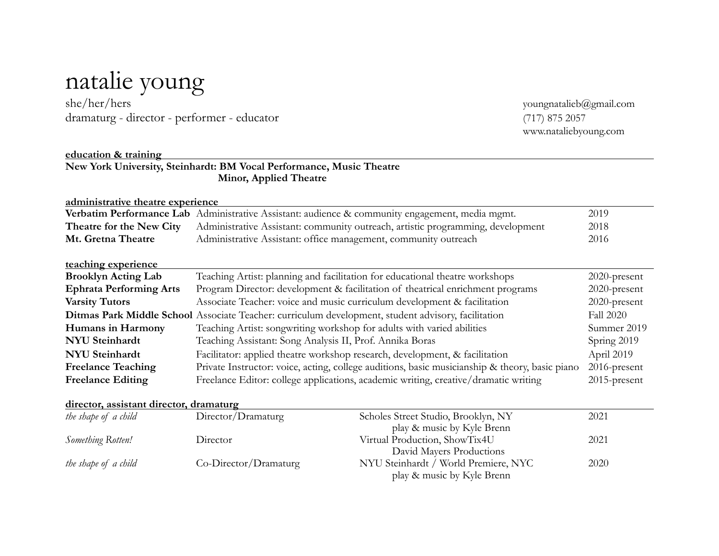## natalie young

dramaturg - director - performer - educator (717) 875 2057

youngnatalieb@gmail.com www.nataliebyoung.com

| education & training                    |                                                                                                                         |                                                                                                 |                 |
|-----------------------------------------|-------------------------------------------------------------------------------------------------------------------------|-------------------------------------------------------------------------------------------------|-----------------|
|                                         | New York University, Steinhardt: BM Vocal Performance, Music Theatre                                                    |                                                                                                 |                 |
|                                         | Minor, Applied Theatre                                                                                                  |                                                                                                 |                 |
|                                         |                                                                                                                         |                                                                                                 |                 |
| administrative theatre experience       |                                                                                                                         |                                                                                                 |                 |
|                                         |                                                                                                                         | Verbatim Performance Lab Administrative Assistant: audience & community engagement, media mgmt. | 2019            |
| Theatre for the New City                |                                                                                                                         | Administrative Assistant: community outreach, artistic programming, development                 | 2018            |
| Mt. Gretna Theatre                      | Administrative Assistant: office management, community outreach                                                         |                                                                                                 | 2016            |
| teaching experience                     |                                                                                                                         |                                                                                                 |                 |
| <b>Brooklyn Acting Lab</b>              | Teaching Artist: planning and facilitation for educational theatre workshops                                            | 2020-present                                                                                    |                 |
| <b>Ephrata Performing Arts</b>          | Program Director: development & facilitation of theatrical enrichment programs                                          |                                                                                                 | 2020-present    |
| <b>Varsity Tutors</b>                   | Associate Teacher: voice and music curriculum development & facilitation                                                | 2020-present                                                                                    |                 |
|                                         | Ditmas Park Middle School Associate Teacher: curriculum development, student advisory, facilitation<br><b>Fall 2020</b> |                                                                                                 |                 |
| Humans in Harmony                       | Teaching Artist: songwriting workshop for adults with varied abilities<br>Summer 2019                                   |                                                                                                 |                 |
| <b>NYU</b> Steinhardt                   | Teaching Assistant: Song Analysis II, Prof. Annika Boras<br>Spring 2019                                                 |                                                                                                 |                 |
| <b>NYU</b> Steinhardt                   | Facilitator: applied theatre workshop research, development, & facilitation                                             |                                                                                                 | April 2019      |
| <b>Freelance Teaching</b>               | Private Instructor: voice, acting, college auditions, basic musicianship & theory, basic piano                          |                                                                                                 | 2016-present    |
| <b>Freelance Editing</b>                | Freelance Editor: college applications, academic writing, creative/dramatic writing                                     |                                                                                                 | $2015$ -present |
| director, assistant director, dramaturg |                                                                                                                         |                                                                                                 |                 |
| the shape of a child                    | Director/Dramaturg                                                                                                      | Scholes Street Studio, Brooklyn, NY                                                             | 2021            |
|                                         |                                                                                                                         | play & music by Kyle Brenn                                                                      |                 |
| Something Rotten!                       | Director                                                                                                                | Virtual Production, ShowTix4U                                                                   | 2021            |
|                                         |                                                                                                                         | David Mayers Productions                                                                        |                 |
| the shape of a child                    | Co-Director/Dramaturg                                                                                                   | NYU Steinhardt / World Premiere, NYC                                                            | 2020            |

play & music by Kyle Brenn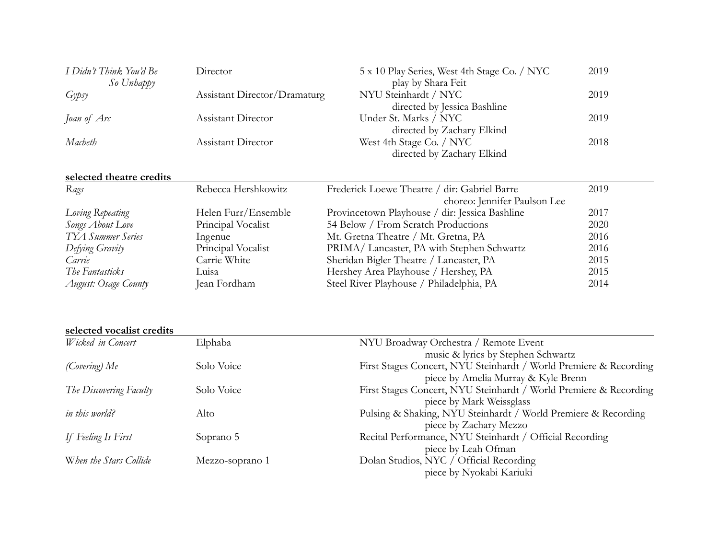| I Didn't Think You'd Be<br>So Unhappy | Director                     | 5 x 10 Play Series, West 4th Stage Co. / NYC<br>play by Shara Feit | 2019 |
|---------------------------------------|------------------------------|--------------------------------------------------------------------|------|
| $Gy \in y$                            | Assistant Director/Dramaturg | NYU Steinhardt / NYC<br>directed by Jessica Bashline               | 2019 |
| Joan of Arc                           | <b>Assistant Director</b>    | Under St. Marks / NYC<br>directed by Zachary Elkind                | 2019 |
| Macbeth                               | Assistant Director           | West 4th Stage Co. / NYC<br>directed by Zachary Elkind             | 2018 |

## **selected theatre credits**

| Rags                     | Rebecca Hershkowitz | Frederick Loewe Theatre / dir: Gabriel Barre   | 2019 |
|--------------------------|---------------------|------------------------------------------------|------|
|                          |                     | choreo: Jennifer Paulson Lee                   |      |
| Loving Repeating         | Helen Furr/Ensemble | Provincetown Playhouse / dir: Jessica Bashline | 2017 |
| Songs About Love         | Principal Vocalist  | 54 Below / From Scratch Productions            | 2020 |
| <b>TYA Summer Series</b> | Ingenue             | Mt. Gretna Theatre / Mt. Gretna, PA            | 2016 |
| Defying Gravity          | Principal Vocalist  | PRIMA/Lancaster, PA with Stephen Schwartz      | 2016 |
| Carrie                   | Carrie White        | Sheridan Bigler Theatre / Lancaster, PA        | 2015 |
| The Fantasticks          | Luisa               | Hershey Area Playhouse / Hershey, PA           | 2015 |
| August: Osage County     | Jean Fordham        | Steel River Playhouse / Philadelphia, PA       | 2014 |

**selected vocalist credits** 

| Wicked in Concert       | Elphaba         | NYU Broadway Orchestra / Remote Event                             |
|-------------------------|-----------------|-------------------------------------------------------------------|
|                         |                 | music & lyrics by Stephen Schwartz                                |
| (Covering) Me           | Solo Voice      | First Stages Concert, NYU Steinhardt / World Premiere & Recording |
|                         |                 | piece by Amelia Murray & Kyle Brenn                               |
| The Discovering Faculty | Solo Voice      | First Stages Concert, NYU Steinhardt / World Premiere & Recording |
|                         |                 | piece by Mark Weissglass                                          |
| in this world?          | Alto            | Pulsing & Shaking, NYU Steinhardt / World Premiere & Recording    |
|                         |                 | piece by Zachary Mezzo                                            |
| If Feeling Is First     | Soprano 5       | Recital Performance, NYU Steinhardt / Official Recording          |
|                         |                 | piece by Leah Ofman                                               |
| When the Stars Collide  | Mezzo-soprano 1 | Dolan Studios, NYC / Official Recording                           |
|                         |                 | piece by Nyokabi Kariuki                                          |